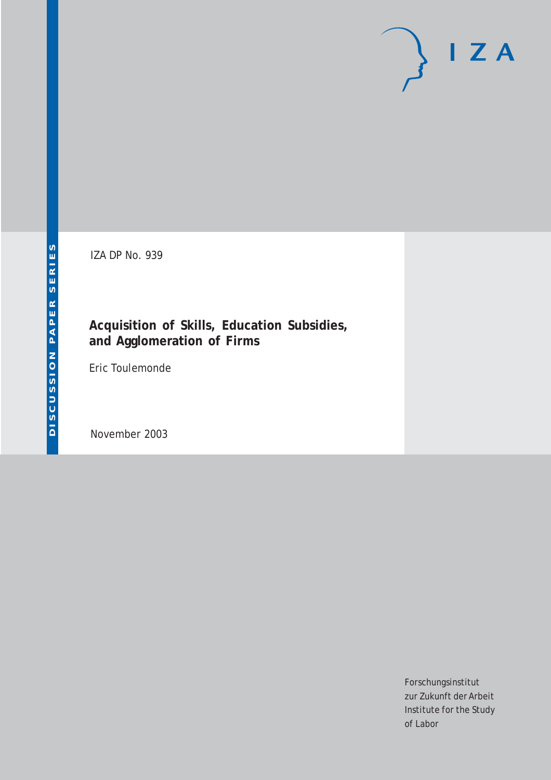# $I Z A$

IZA DP No. 939

### **Acquisition of Skills, Education Subsidies, and Agglomeration of Firms**

Eric Toulemonde

November 2003

Forschungsinstitut zur Zukunft der Arbeit Institute for the Study of Labor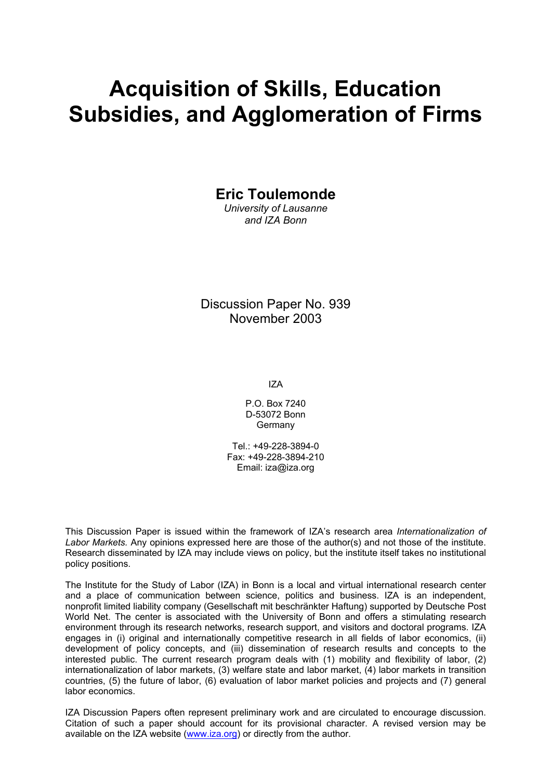# **Acquisition of Skills, Education Subsidies, and Agglomeration of Firms**

**Eric Toulemonde** 

*University of Lausanne and IZA Bonn* 

Discussion Paper No. 939 November 2003

IZA

P.O. Box 7240 D-53072 Bonn **Germany** 

Tel.: +49-228-3894-0 Fax: +49-228-3894-210 Email: [iza@iza.org](mailto:iza@iza.org)

This Discussion Paper is issued within the framework of IZA's research area *Internationalization of Labor Markets.* Any opinions expressed here are those of the author(s) and not those of the institute. Research disseminated by IZA may include views on policy, but the institute itself takes no institutional policy positions.

The Institute for the Study of Labor (IZA) in Bonn is a local and virtual international research center and a place of communication between science, politics and business. IZA is an independent, nonprofit limited liability company (Gesellschaft mit beschränkter Haftung) supported by Deutsche Post World Net. The center is associated with the University of Bonn and offers a stimulating research environment through its research networks, research support, and visitors and doctoral programs. IZA engages in (i) original and internationally competitive research in all fields of labor economics, (ii) development of policy concepts, and (iii) dissemination of research results and concepts to the interested public. The current research program deals with (1) mobility and flexibility of labor, (2) internationalization of labor markets, (3) welfare state and labor market, (4) labor markets in transition countries, (5) the future of labor, (6) evaluation of labor market policies and projects and (7) general labor economics.

IZA Discussion Papers often represent preliminary work and are circulated to encourage discussion. Citation of such a paper should account for its provisional character. A revised version may be available on the IZA website ([www.iza.org](http://www.iza.org/)) or directly from the author.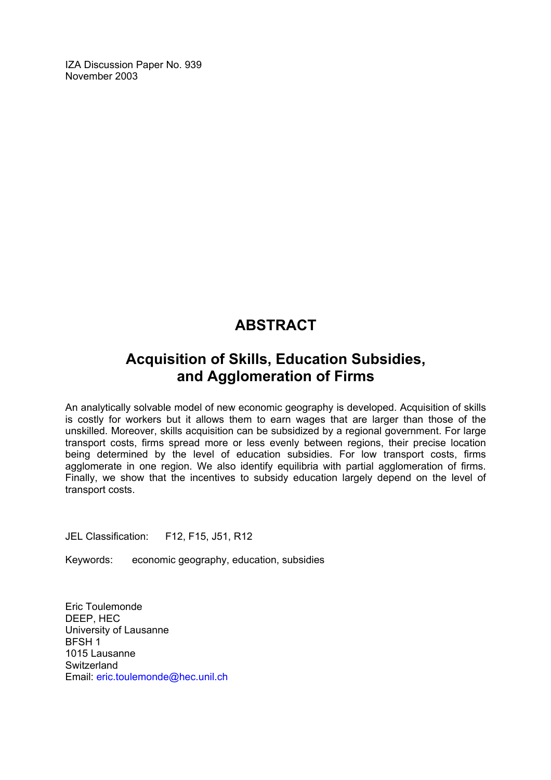IZA Discussion Paper No. 939 November 2003

## **ABSTRACT**

## **Acquisition of Skills, Education Subsidies, and Agglomeration of Firms**

An analytically solvable model of new economic geography is developed. Acquisition of skills is costly for workers but it allows them to earn wages that are larger than those of the unskilled. Moreover, skills acquisition can be subsidized by a regional government. For large transport costs, firms spread more or less evenly between regions, their precise location being determined by the level of education subsidies. For low transport costs, firms agglomerate in one region. We also identify equilibria with partial agglomeration of firms. Finally, we show that the incentives to subsidy education largely depend on the level of transport costs.

JEL Classification: F12, F15, J51, R12

Keywords: economic geography, education, subsidies

Eric Toulemonde DEEP, HEC University of Lausanne BFSH 1 1015 Lausanne **Switzerland** Email: [eric.toulemonde@hec.unil.ch](mailto:eric.toulemonde@hec.unil.ch)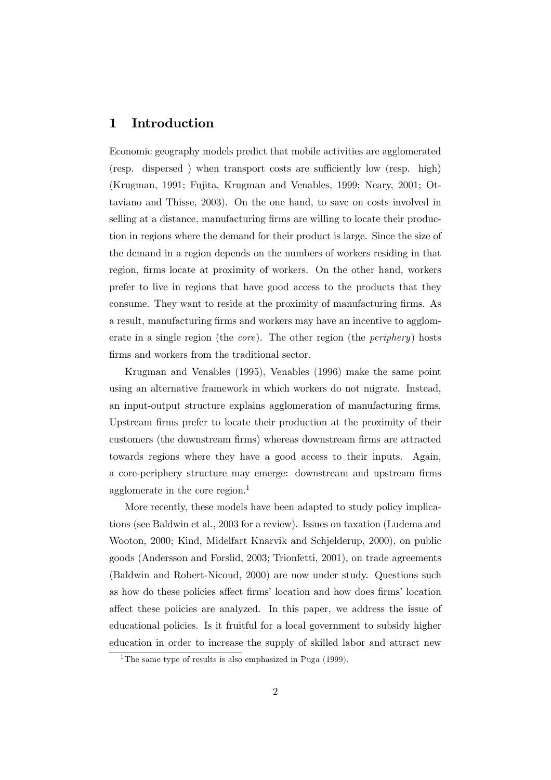#### Introduction 1

Economic geography models predict that mobile activities are agglomerated (resp. dispersed) when transport costs are sufficiently low (resp. high) (Krugman, 1991; Fujita, Krugman and Venables, 1999; Neary, 2001; Ottaviano and Thisse, 2003). On the one hand, to save on costs involved in selling at a distance, manufacturing firms are willing to locate their production in regions where the demand for their product is large. Since the size of the demand in a region depends on the numbers of workers residing in that region, firms locate at proximity of workers. On the other hand, workers prefer to live in regions that have good access to the products that they consume. They want to reside at the proximity of manufacturing firms. As a result, manufacturing firms and workers may have an incentive to agglomerate in a single region (the *core*). The other region (the *periphery*) hosts firms and workers from the traditional sector.

Krugman and Venables (1995), Venables (1996) make the same point using an alternative framework in which workers do not migrate. Instead, an input-output structure explains agglomeration of manufacturing firms. Upstream firms prefer to locate their production at the proximity of their customers (the downstream firms) whereas downstream firms are attracted towards regions where they have a good access to their inputs. Again, a core-periphery structure may emerge: downstream and upstream firms agglomerate in the core region. $<sup>1</sup>$ </sup>

More recently, these models have been adapted to study policy implications (see Baldwin et al., 2003 for a review). Issues on taxation (Ludema and Wooton, 2000; Kind, Midelfart Knarvik and Schjelderup, 2000), on public goods (Andersson and Forslid, 2003; Trionfetti, 2001), on trade agreements (Baldwin and Robert-Nicoud, 2000) are now under study. Questions such as how do these policies affect firms' location and how does firms' location affect these policies are analyzed. In this paper, we address the issue of educational policies. Is it fruitful for a local government to subsidy higher education in order to increase the supply of skilled labor and attract new

<sup>&</sup>lt;sup>1</sup>The same type of results is also emphasized in Puga  $(1999)$ .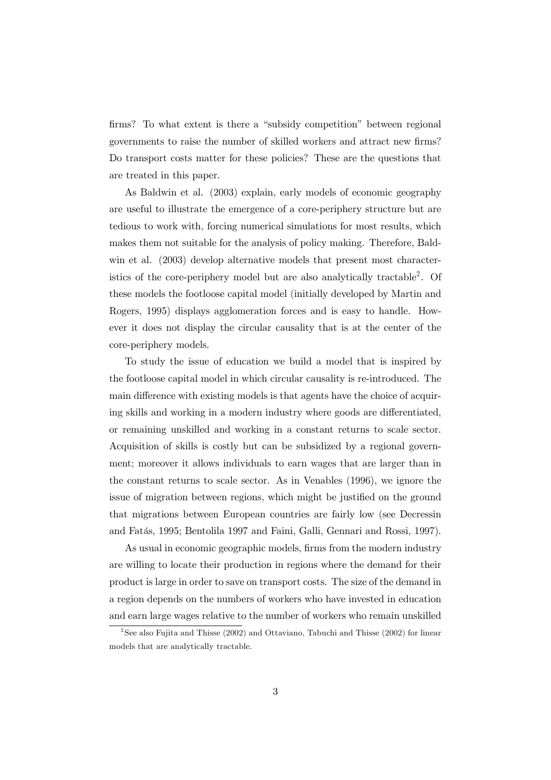firms? To what extent is there a "subsidy competition" between regional governments to raise the number of skilled workers and attract new firms? Do transport costs matter for these policies? These are the questions that are treated in this paper.

As Baldwin et al. (2003) explain, early models of economic geography are useful to illustrate the emergence of a core-periphery structure but are tedious to work with, forcing numerical simulations for most results, which makes them not suitable for the analysis of policy making. Therefore, Baldwin et al. (2003) develop alternative models that present most characteristics of the core-periphery model but are also analytically tractable<sup>2</sup>. Of these models the footloose capital model (initially developed by Martin and Rogers, 1995) displays agglomeration forces and is easy to handle. However it does not display the circular causality that is at the center of the core-periphery models.

To study the issue of education we build a model that is inspired by the footloose capital model in which circular causality is re-introduced. The main difference with existing models is that agents have the choice of acquiring skills and working in a modern industry where goods are differentiated. or remaining unskilled and working in a constant returns to scale sector. Acquisition of skills is costly but can be subsidized by a regional government; moreover it allows individuals to earn wages that are larger than in the constant returns to scale sector. As in Venables (1996), we ignore the issue of migration between regions, which might be justified on the ground that migrations between European countries are fairly low (see Decressin and Fatás, 1995; Bentolila 1997 and Faini, Galli, Gennari and Rossi, 1997).

As usual in economic geographic models, firms from the modern industry are willing to locate their production in regions where the demand for their product is large in order to save on transport costs. The size of the demand in a region depends on the numbers of workers who have invested in education and earn large wages relative to the number of workers who remain unskilled

<sup>&</sup>lt;sup>2</sup>See also Fujita and Thisse (2002) and Ottaviano, Tabuchi and Thisse (2002) for linear models that are analytically tractable.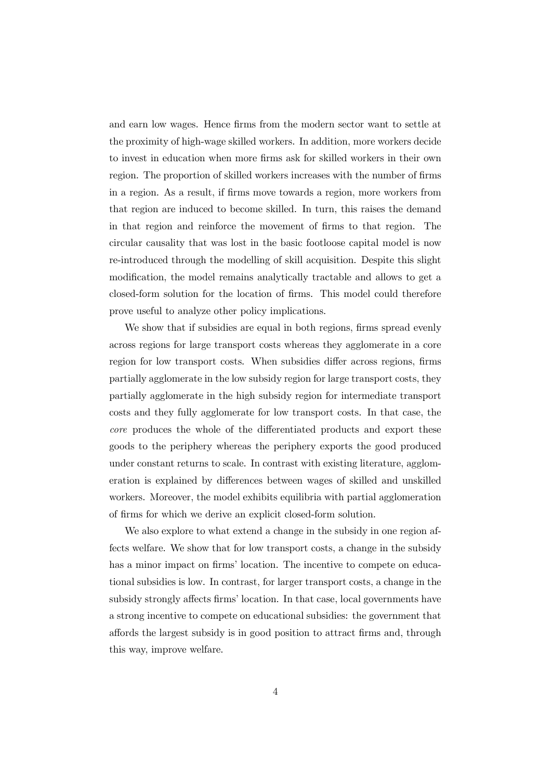and earn low wages. Hence firms from the modern sector want to settle at the proximity of high-wage skilled workers. In addition, more workers decide to invest in education when more firms ask for skilled workers in their own region. The proportion of skilled workers increases with the number of firms in a region. As a result, if firms move towards a region, more workers from that region are induced to become skilled. In turn, this raises the demand in that region and reinforce the movement of firms to that region. The circular causality that was lost in the basic footloose capital model is now re-introduced through the modelling of skill acquisition. Despite this slight modification, the model remains analytically tractable and allows to get a closed-form solution for the location of firms. This model could therefore prove useful to analyze other policy implications.

We show that if subsidies are equal in both regions, firms spread evenly across regions for large transport costs whereas they agglomerate in a core region for low transport costs. When subsidies differ across regions, firms partially agglomerate in the low subsidy region for large transport costs, they partially agglomerate in the high subsidy region for intermediate transport costs and they fully agglomerate for low transport costs. In that case, the core produces the whole of the differentiated products and export these goods to the periphery whereas the periphery exports the good produced under constant returns to scale. In contrast with existing literature, agglomeration is explained by differences between wages of skilled and unskilled workers. Moreover, the model exhibits equilibria with partial agglomeration of firms for which we derive an explicit closed-form solution.

We also explore to what extend a change in the subsidy in one region affects welfare. We show that for low transport costs, a change in the subsidy has a minor impact on firms' location. The incentive to compete on educational subsidies is low. In contrast, for larger transport costs, a change in the subsidy strongly affects firms' location. In that case, local governments have a strong incentive to compete on educational subsidies: the government that affords the largest subsidy is in good position to attract firms and, through this way, improve welfare.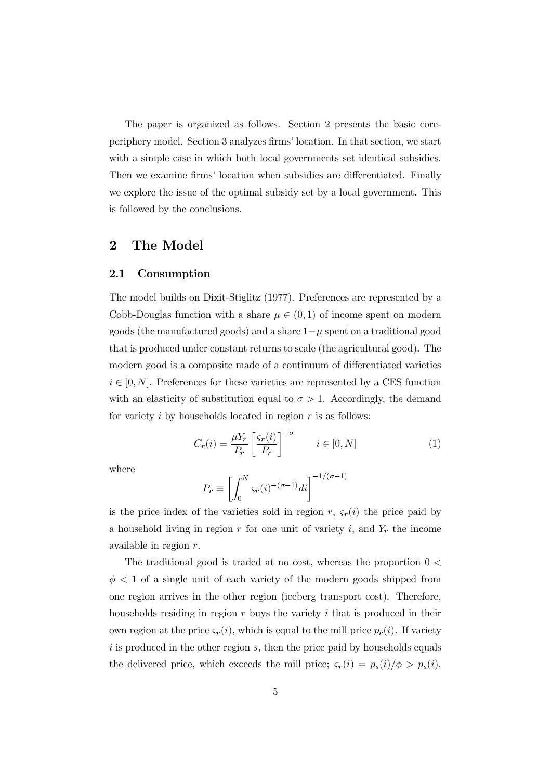The paper is organized as follows. Section 2 presents the basic coreperiphery model. Section 3 analyzes firms' location. In that section, we start with a simple case in which both local governments set identical subsidies. Then we examine firms' location when subsidies are differentiated. Finally we explore the issue of the optimal subsidy set by a local government. This is followed by the conclusions.

#### $\bf{2}$ The Model

#### $2.1$ Consumption

The model builds on Dixit-Stiglitz (1977). Preferences are represented by a Cobb-Douglas function with a share  $\mu \in (0,1)$  of income spent on modern goods (the manufactured goods) and a share  $1-\mu$  spent on a traditional good that is produced under constant returns to scale (the agricultural good). The modern good is a composite made of a continuum of differentiated varieties  $i \in [0, N]$ . Preferences for these varieties are represented by a CES function with an elasticity of substitution equal to  $\sigma > 1$ . Accordingly, the demand for variety i by households located in region  $r$  is as follows:

$$
C_r(i) = \frac{\mu Y_r}{P_r} \left[ \frac{\varsigma_r(i)}{P_r} \right]^{-\sigma} \qquad i \in [0, N] \tag{1}
$$

where

$$
P_r \equiv \left[ \int_0^N \varsigma_r(i)^{-(\sigma-1)} di \right]^{-1/(\sigma-1)}
$$

is the price index of the varieties sold in region r,  $\zeta_r(i)$  the price paid by a household living in region r for one unit of variety i, and  $Y_r$  the income available in region  $r$ .

The traditional good is traded at no cost, whereas the proportion  $0 \le$  $\phi$  < 1 of a single unit of each variety of the modern goods shipped from one region arrives in the other region (iceberg transport cost). Therefore, households residing in region  $r$  buys the variety  $i$  that is produced in their own region at the price  $\varsigma_r(i)$ , which is equal to the mill price  $p_r(i)$ . If variety  $i$  is produced in the other region  $s$ , then the price paid by households equals the delivered price, which exceeds the mill price;  $\varsigma_r(i) = p_s(i)/\phi > p_s(i)$ .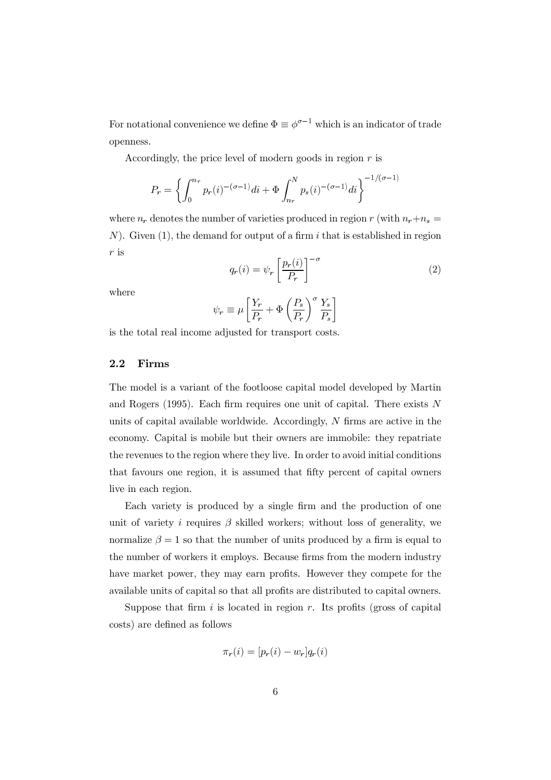For notational convenience we define  $\Phi \equiv \phi^{\sigma-1}$  which is an indicator of trade openness.

Accordingly, the price level of modern goods in region  $r$  is

$$
P_r = \left\{ \int_0^{n_r} p_r(i)^{-(\sigma-1)} di + \Phi \int_{n_r}^N p_s(i)^{-(\sigma-1)} di \right\}^{-1/(\sigma-1)}
$$

where  $n_r$  denotes the number of varieties produced in region r (with  $n_r+n_s$  =  $N$ ). Given (1), the demand for output of a firm i that is established in region  $r$  is

$$
q_r(i) = \psi_r \left[ \frac{p_r(i)}{P_r} \right]^{-\sigma} \tag{2}
$$

where

$$
\psi_r \equiv \mu \left[ \frac{Y_r}{P_r} + \Phi \left( \frac{P_s}{P_r} \right)^{\sigma} \frac{Y_s}{P_s} \right]
$$

is the total real income adjusted for transport costs.

#### $2.2$ Firms

The model is a variant of the footloose capital model developed by Martin and Rogers  $(1995)$ . Each firm requires one unit of capital. There exists N units of capital available worldwide. Accordingly,  $N$  firms are active in the economy. Capital is mobile but their owners are immobile: they repatriate the revenues to the region where they live. In order to avoid initial conditions that favours one region, it is assumed that fifty percent of capital owners live in each region.

Each variety is produced by a single firm and the production of one unit of variety i requires  $\beta$  skilled workers; without loss of generality, we normalize  $\beta = 1$  so that the number of units produced by a firm is equal to the number of workers it employs. Because firms from the modern industry have market power, they may earn profits. However they compete for the available units of capital so that all profits are distributed to capital owners.

Suppose that firm  $i$  is located in region  $r$ . Its profits (gross of capital costs) are defined as follows

$$
\pi_r(i) = [p_r(i) - w_r]q_r(i)
$$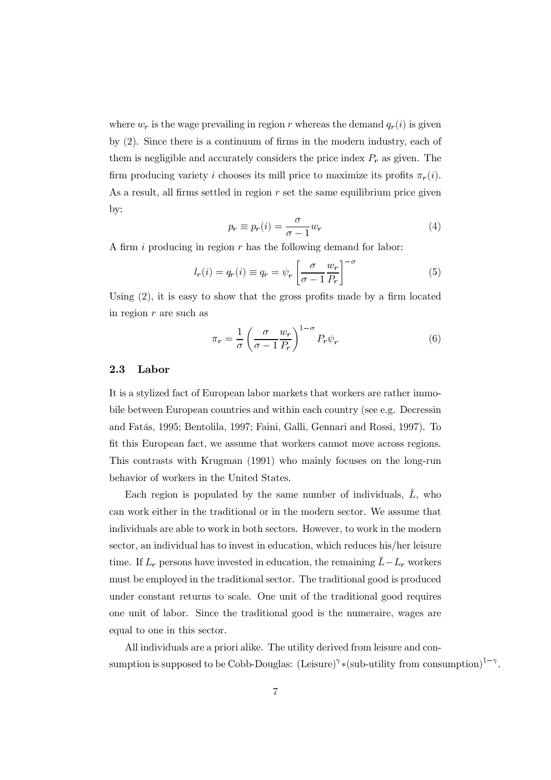where  $w_r$  is the wage prevailing in region r whereas the demand  $q_r(i)$  is given by  $(2)$ . Since there is a continuum of firms in the modern industry, each of them is negligible and accurately considers the price index  $P_r$  as given. The firm producing variety i chooses its mill price to maximize its profits  $\pi_r(i)$ . As a result, all firms settled in region  $r$  set the same equilibrium price given by:

$$
p_r \equiv p_r(i) = \frac{\sigma}{\sigma - 1} w_r \tag{4}
$$

A firm i producing in region  $r$  has the following demand for labor:

$$
l_r(i) = q_r(i) \equiv q_r = \psi_r \left[ \frac{\sigma}{\sigma - 1} \frac{w_r}{P_r} \right]^{-\sigma}
$$
 (5)

Using  $(2)$ , it is easy to show that the gross profits made by a firm located in region  $r$  are such as

$$
\pi_r = \frac{1}{\sigma} \left( \frac{\sigma}{\sigma - 1} \frac{w_r}{P_r} \right)^{1 - \sigma} P_r \psi_r \tag{6}
$$

#### $2.3$ Labor

It is a stylized fact of European labor markets that workers are rather immobile between European countries and within each country (see e.g. Decressin and Fatás, 1995; Bentolila, 1997; Faini, Galli, Gennari and Rossi, 1997). To fit this European fact, we assume that workers cannot move across regions. This contrasts with Krugman (1991) who mainly focuses on the long-run behavior of workers in the United States.

Each region is populated by the same number of individuals,  $\bar{L}$ , who can work either in the traditional or in the modern sector. We assume that individuals are able to work in both sectors. However, to work in the modern sector, an individual has to invest in education, which reduces his/her leisure time. If  $L_r$  persons have invested in education, the remaining  $\bar{L} - L_r$  workers must be employed in the traditional sector. The traditional good is produced under constant returns to scale. One unit of the traditional good requires one unit of labor. Since the traditional good is the numeraire, wages are equal to one in this sector.

All individuals are a priori alike. The utility derived from leisure and consumption is supposed to be Cobb-Douglas: (Leisure)<sup> $\gamma$ </sup>\*(sub-utility from consumption)<sup>1- $\gamma$ </sup>.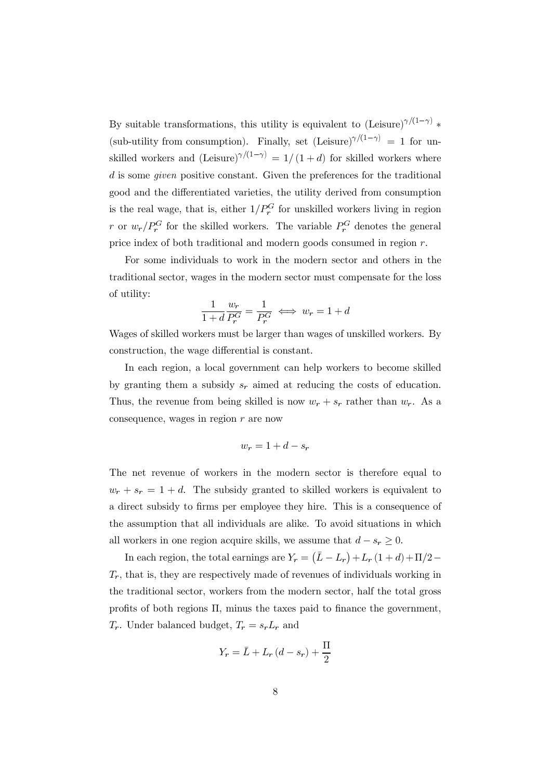By suitable transformations, this utility is equivalent to (Leisure)<sup> $\gamma/(1-\gamma)$ </sup> (sub-utility from consumption). Finally, set (Leisure) $\gamma/(1-\gamma) = 1$  for unskilled workers and  $(Leisure)^{\gamma/(1-\gamma)} = 1/(1+d)$  for skilled workers where  $d$  is some *given* positive constant. Given the preferences for the traditional good and the differentiated varieties, the utility derived from consumption is the real wage, that is, either  $1/P_r^G$  for unskilled workers living in region r or  $w_r/P_r^G$  for the skilled workers. The variable  $P_r^G$  denotes the general price index of both traditional and modern goods consumed in region  $r$ .

For some individuals to work in the modern sector and others in the traditional sector, wages in the modern sector must compensate for the loss of utility:

$$
\frac{1}{1+d} \frac{w_r}{P_r^G} = \frac{1}{P_r^G} \iff w_r = 1+d
$$

Wages of skilled workers must be larger than wages of unskilled workers. By construction, the wage differential is constant.

In each region, a local government can help workers to become skilled by granting them a subsidy  $s_r$  aimed at reducing the costs of education. Thus, the revenue from being skilled is now  $w_r + s_r$  rather than  $w_r$ . As a consequence, wages in region  $r$  are now

$$
w_r = 1 + d - s_r
$$

The net revenue of workers in the modern sector is therefore equal to  $w_r + s_r = 1 + d$ . The subsidy granted to skilled workers is equivalent to a direct subsidy to firms per employee they hire. This is a consequence of the assumption that all individuals are alike. To avoid situations in which all workers in one region acquire skills, we assume that  $d - s_r \geq 0$ .

In each region, the total earnings are  $Y_r = (\bar{L} - L_r) + L_r (1 + d) + \Pi/2 T_r$ , that is, they are respectively made of revenues of individuals working in the traditional sector, workers from the modern sector, half the total gross profits of both regions  $\Pi$ , minus the taxes paid to finance the government,  $T_r$ . Under balanced budget,  $T_r = s_r L_r$  and

$$
Y_r = \bar{L} + L_r (d - s_r) + \frac{\Pi}{2}
$$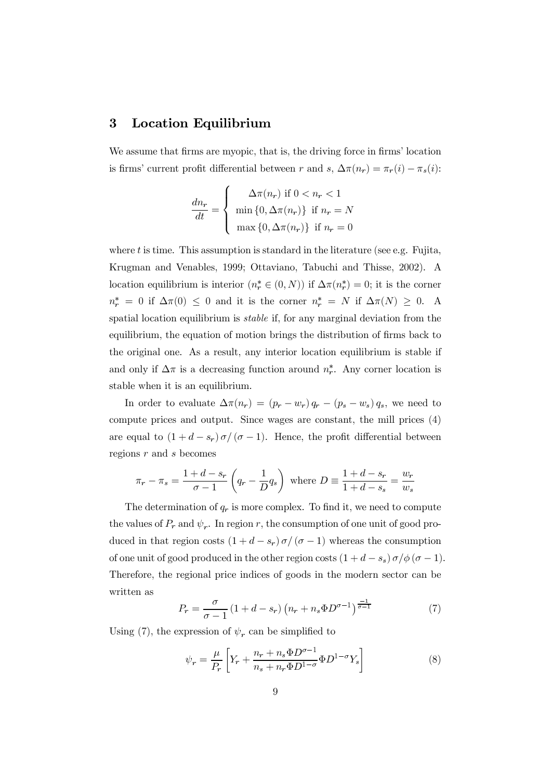#### **Location Equilibrium**  $\bf{3}$

We assume that firms are myopic, that is, the driving force in firms' location is firms' current profit differential between r and s,  $\Delta \pi(n_r) = \pi_r(i) - \pi_s(i)$ :

$$
\frac{dn_r}{dt} = \begin{cases} \Delta \pi(n_r) & \text{if } 0 < n_r < 1 \\ \min\{0, \Delta \pi(n_r)\} & \text{if } n_r = N \\ \max\{0, \Delta \pi(n_r)\} & \text{if } n_r = 0 \end{cases}
$$

where  $t$  is time. This assumption is standard in the literature (see e.g. Fujita, Krugman and Venables, 1999; Ottaviano, Tabuchi and Thisse, 2002). A location equilibrium is interior  $(n_r^* \in (0, N))$  if  $\Delta \pi(n_r^*) = 0$ ; it is the corner  $n_r^* = 0$  if  $\Delta \pi(0) \leq 0$  and it is the corner  $n_r^* = N$  if  $\Delta \pi(N) \geq 0$ . A spatial location equilibrium is *stable* if, for any marginal deviation from the equilibrium, the equation of motion brings the distribution of firms back to the original one. As a result, any interior location equilibrium is stable if and only if  $\Delta \pi$  is a decreasing function around  $n_r^*$ . Any corner location is stable when it is an equilibrium.

In order to evaluate  $\Delta \pi(n_r) = (p_r - w_r) q_r - (p_s - w_s) q_s$ , we need to compute prices and output. Since wages are constant, the mill prices (4) are equal to  $(1+d-s_r)\sigma/(\sigma-1)$ . Hence, the profit differential between regions  $r$  and  $s$  becomes

$$
\pi_r - \pi_s = \frac{1+d-s_r}{\sigma - 1} \left( q_r - \frac{1}{D} q_s \right)
$$
 where  $D \equiv \frac{1+d-s_r}{1+d-s_s} = \frac{w_r}{w_s}$ 

The determination of  $q_r$  is more complex. To find it, we need to compute the values of  $P_r$  and  $\psi_r$ . In region r, the consumption of one unit of good produced in that region costs  $(1 + d - s_r) \sigma / (\sigma - 1)$  whereas the consumption of one unit of good produced in the other region costs  $(1 + d - s_s) \sigma / \phi (\sigma - 1)$ . Therefore, the regional price indices of goods in the modern sector can be written as

$$
P_r = \frac{\sigma}{\sigma - 1} \left( 1 + d - s_r \right) \left( n_r + n_s \Phi D^{\sigma - 1} \right)^{\frac{-1}{\sigma - 1}} \tag{7}
$$

Using (7), the expression of  $\psi_r$  can be simplified to

$$
\psi_r = \frac{\mu}{P_r} \left[ Y_r + \frac{n_r + n_s \Phi D^{\sigma - 1}}{n_s + n_r \Phi D^{1 - \sigma}} \Phi D^{1 - \sigma} Y_s \right]
$$
\n(8)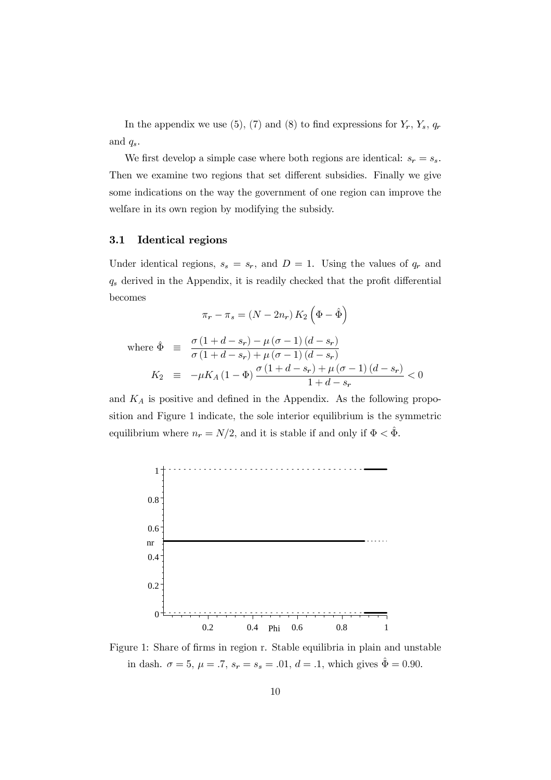In the appendix we use (5), (7) and (8) to find expressions for  $Y_r$ ,  $Y_s$ ,  $q_r$ and  $q_s$ .

We first develop a simple case where both regions are identical:  $s_r = s_s$ . Then we examine two regions that set different subsidies. Finally we give some indications on the way the government of one region can improve the welfare in its own region by modifying the subsidy.

#### $3.1$ **Identical regions**

Under identical regions,  $s_s = s_r$ , and  $D = 1$ . Using the values of  $q_r$  and  $q_s$  derived in the Appendix, it is readily checked that the profit differential becomes

$$
\pi_r - \pi_s = (N - 2n_r) K_2 \left(\Phi - \hat{\Phi}\right)
$$

where 
$$
\hat{\Phi} \equiv \frac{\sigma (1 + d - s_r) - \mu (\sigma - 1) (d - s_r)}{\sigma (1 + d - s_r) + \mu (\sigma - 1) (d - s_r)}
$$
  
\n
$$
K_2 \equiv -\mu K_A (1 - \Phi) \frac{\sigma (1 + d - s_r) + \mu (\sigma - 1) (d - s_r)}{1 + d - s_r} < 0
$$

and  $K_A$  is positive and defined in the Appendix. As the following proposition and Figure 1 indicate, the sole interior equilibrium is the symmetric equilibrium where  $n_r = N/2$ , and it is stable if and only if  $\Phi < \hat{\Phi}$ .



Figure 1: Share of firms in region r. Stable equilibria in plain and unstable in dash.  $\sigma = 5$ ,  $\mu = .7$ ,  $s_r = s_s = .01$ ,  $d = .1$ , which gives  $\hat{\Phi} = 0.90$ .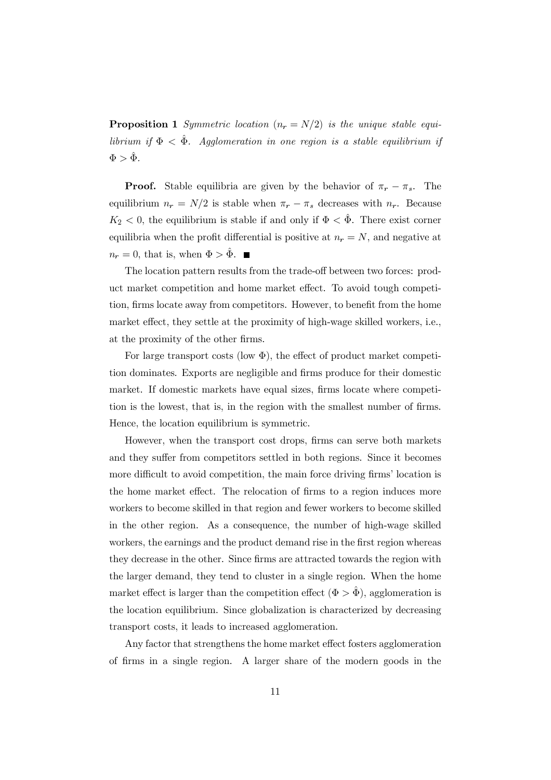**Proposition 1** Symmetric location  $(n_r = N/2)$  is the unique stable equilibrium if  $\Phi < \hat{\Phi}$ . Agglomeration in one region is a stable equilibrium if  $\Phi > \hat{\Phi}$ .

**Proof.** Stable equilibria are given by the behavior of  $\pi_r - \pi_s$ . The equilibrium  $n_r = N/2$  is stable when  $\pi_r - \pi_s$  decreases with  $n_r$ . Because  $K_2$  < 0, the equilibrium is stable if and only if  $\Phi < \tilde{\Phi}$ . There exist corner equilibria when the profit differential is positive at  $n_r = N$ , and negative at  $n_r = 0$ , that is, when  $\Phi > \hat{\Phi}$ .

The location pattern results from the trade-off between two forces: product market competition and home market effect. To avoid tough competition, firms locate away from competitors. However, to benefit from the home market effect, they settle at the proximity of high-wage skilled workers, i.e., at the proximity of the other firms.

For large transport costs (low  $\Phi$ ), the effect of product market competition dominates. Exports are negligible and firms produce for their domestic market. If domestic markets have equal sizes, firms locate where competition is the lowest, that is, in the region with the smallest number of firms. Hence, the location equilibrium is symmetric.

However, when the transport cost drops, firms can serve both markets and they suffer from competitors settled in both regions. Since it becomes more difficult to avoid competition, the main force driving firms' location is the home market effect. The relocation of firms to a region induces more workers to become skilled in that region and fewer workers to become skilled in the other region. As a consequence, the number of high-wage skilled workers, the earnings and the product demand rise in the first region whereas they decrease in the other. Since firms are attracted towards the region with the larger demand, they tend to cluster in a single region. When the home market effect is larger than the competition effect  $(\Phi > \hat{\Phi})$ , agglomeration is the location equilibrium. Since globalization is characterized by decreasing transport costs, it leads to increased agglomeration.

Any factor that strengthens the home market effect fosters agglomeration of firms in a single region. A larger share of the modern goods in the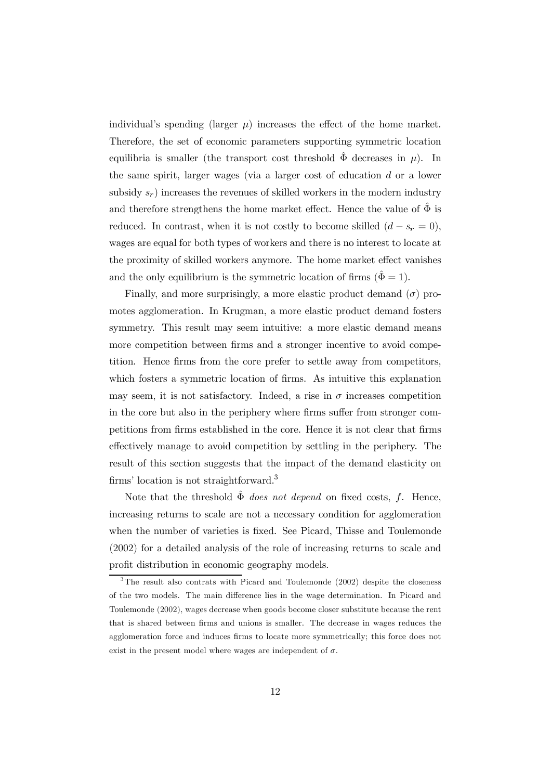individual's spending (larger  $\mu$ ) increases the effect of the home market. Therefore, the set of economic parameters supporting symmetric location equilibria is smaller (the transport cost threshold  $\hat{\Phi}$  decreases in  $\mu$ ). In the same spirit, larger wages (via a larger cost of education  $d$  or a lower subsidy  $s_r$ ) increases the revenues of skilled workers in the modern industry and therefore strengthens the home market effect. Hence the value of  $\hat{\Phi}$  is reduced. In contrast, when it is not costly to become skilled  $(d - s<sub>r</sub> = 0)$ , wages are equal for both types of workers and there is no interest to locate at the proximity of skilled workers anymore. The home market effect vanishes and the only equilibrium is the symmetric location of firms  $(\hat{\Phi} = 1)$ .

Finally, and more surprisingly, a more elastic product demand  $(\sigma)$  promotes agglomeration. In Krugman, a more elastic product demand fosters symmetry. This result may seem intuitive: a more elastic demand means more competition between firms and a stronger incentive to avoid competition. Hence firms from the core prefer to settle away from competitors, which fosters a symmetric location of firms. As intuitive this explanation may seem, it is not satisfactory. Indeed, a rise in  $\sigma$  increases competition in the core but also in the periphery where firms suffer from stronger competitions from firms established in the core. Hence it is not clear that firms effectively manage to avoid competition by settling in the periphery. The result of this section suggests that the impact of the demand elasticity on firms' location is not straightforward.<sup>3</sup>

Note that the threshold  $\hat{\Phi}$  does not depend on fixed costs, f. Hence, increasing returns to scale are not a necessary condition for agglomeration when the number of varieties is fixed. See Picard, Thisse and Toulemonde  $(2002)$  for a detailed analysis of the role of increasing returns to scale and profit distribution in economic geography models.

 $3$ The result also contrats with Picard and Toulemonde (2002) despite the closeness of the two models. The main difference lies in the wage determination. In Picard and Toulemonde (2002), wages decrease when goods become closer substitute because the rent that is shared between firms and unions is smaller. The decrease in wages reduces the agglomeration force and induces firms to locate more symmetrically; this force does not exist in the present model where wages are independent of  $\sigma$ .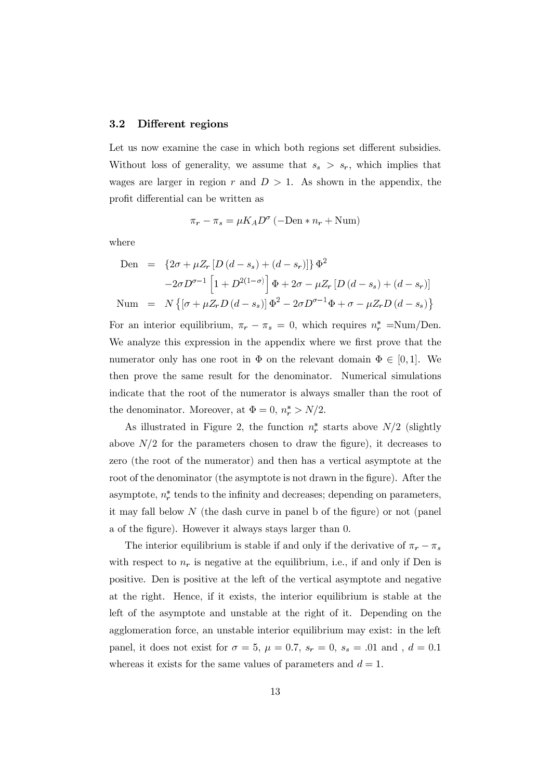#### $3.2\,$ Different regions

Let us now examine the case in which both regions set different subsidies. Without loss of generality, we assume that  $s_s > s_r$ , which implies that wages are larger in region r and  $D > 1$ . As shown in the appendix, the profit differential can be written as

$$
\pi_r - \pi_s = \mu K_A D^{\sigma} \left( -\text{Den} * n_r + \text{Num} \right)
$$

where

Den = 
$$
\{2\sigma + \mu Z_r [D(d - s_s) + (d - s_r)]\} \Phi^2
$$
  
\n $-2\sigma D^{\sigma-1} [1 + D^{2(1-\sigma)}] \Phi + 2\sigma - \mu Z_r [D(d - s_s) + (d - s_r)]$   
\nNum =  $N \{ [\sigma + \mu Z_r D(d - s_s)] \Phi^2 - 2\sigma D^{\sigma-1} \Phi + \sigma - \mu Z_r D(d - s_s) \}$ 

For an interior equilibrium,  $\pi_r - \pi_s = 0$ , which requires  $n_r^* = Num/Den$ . We analyze this expression in the appendix where we first prove that the numerator only has one root in  $\Phi$  on the relevant domain  $\Phi \in [0,1]$ . We then prove the same result for the denominator. Numerical simulations indicate that the root of the numerator is always smaller than the root of the denominator. Moreover, at  $\Phi = 0$ ,  $n_r^* > N/2$ .

As illustrated in Figure 2, the function  $n_r^*$  starts above  $N/2$  (slightly above  $N/2$  for the parameters chosen to draw the figure), it decreases to zero (the root of the numerator) and then has a vertical asymptote at the root of the denominator (the asymptote is not drawn in the figure). After the asymptote,  $n_r^*$  tends to the infinity and decreases; depending on parameters, it may fall below N (the dash curve in panel b of the figure) or not (panel a of the figure). However it always stays larger than 0.

The interior equilibrium is stable if and only if the derivative of  $\pi_r - \pi_s$ with respect to  $n_r$  is negative at the equilibrium, i.e., if and only if Den is positive. Den is positive at the left of the vertical asymptote and negative at the right. Hence, if it exists, the interior equilibrium is stable at the left of the asymptote and unstable at the right of it. Depending on the agglomeration force, an unstable interior equilibrium may exist: in the left panel, it does not exist for  $\sigma = 5$ ,  $\mu = 0.7$ ,  $s_r = 0$ ,  $s_s = .01$  and,  $d = 0.1$ whereas it exists for the same values of parameters and  $d = 1$ .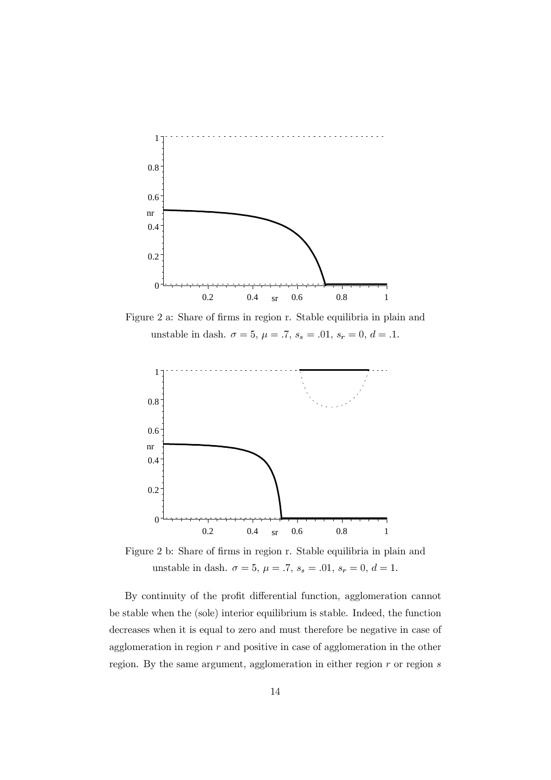

Figure 2 a: Share of firms in region r. Stable equilibria in plain and unstable in dash.  $\sigma = 5$ ,  $\mu = .7$ ,  $s_s = .01$ ,  $s_r = 0$ ,  $d = .1$ .



Figure 2 b: Share of firms in region r. Stable equilibria in plain and unstable in dash.  $\sigma=5,$   $\mu=.7,$   $s_s=.01,$   $s_r=0,$   $d=1.$ 

By continuity of the profit differential function, agglomeration cannot be stable when the (sole) interior equilibrium is stable. Indeed, the function decreases when it is equal to zero and must therefore be negative in case of agglomeration in region  $r$  and positive in case of agglomeration in the other region. By the same argument, agglomeration in either region  $r$  or region  $s$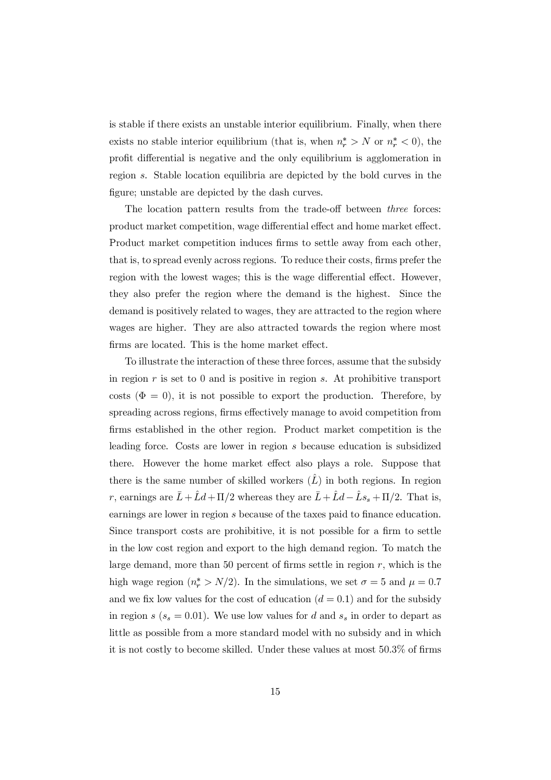is stable if there exists an unstable interior equilibrium. Finally, when there exists no stable interior equilibrium (that is, when  $n_r^* > N$  or  $n_r^* < 0$ ), the profit differential is negative and the only equilibrium is agglomeration in region s. Stable location equilibria are depicted by the bold curves in the figure; unstable are depicted by the dash curves.

The location pattern results from the trade-off between *three* forces: product market competition, wage differential effect and home market effect. Product market competition induces firms to settle away from each other, that is, to spread evenly across regions. To reduce their costs, firms prefer the region with the lowest wages; this is the wage differential effect. However, they also prefer the region where the demand is the highest. Since the demand is positively related to wages, they are attracted to the region where wages are higher. They are also attracted towards the region where most firms are located. This is the home market effect.

To illustrate the interaction of these three forces, assume that the subsidy in region  $r$  is set to 0 and is positive in region  $s$ . At prohibitive transport costs ( $\Phi = 0$ ), it is not possible to export the production. Therefore, by spreading across regions, firms effectively manage to avoid competition from firms established in the other region. Product market competition is the leading force. Costs are lower in region s because education is subsidized there. However the home market effect also plays a role. Suppose that there is the same number of skilled workers  $(\hat{L})$  in both regions. In region r, earnings are  $\bar{L} + \hat{L}d + \Pi/2$  whereas they are  $\bar{L} + \hat{L}d - \hat{L}s_s + \Pi/2$ . That is, earnings are lower in region s because of the taxes paid to finance education. Since transport costs are prohibitive, it is not possible for a firm to settle in the low cost region and export to the high demand region. To match the large demand, more than 50 percent of firms settle in region  $r$ , which is the high wage region  $(n_r^* > N/2)$ . In the simulations, we set  $\sigma = 5$  and  $\mu = 0.7$ and we fix low values for the cost of education  $(d = 0.1)$  and for the subsidy in region  $s$  ( $s_s = 0.01$ ). We use low values for d and  $s_s$  in order to depart as little as possible from a more standard model with no subsidy and in which it is not costly to become skilled. Under these values at most 50.3% of firms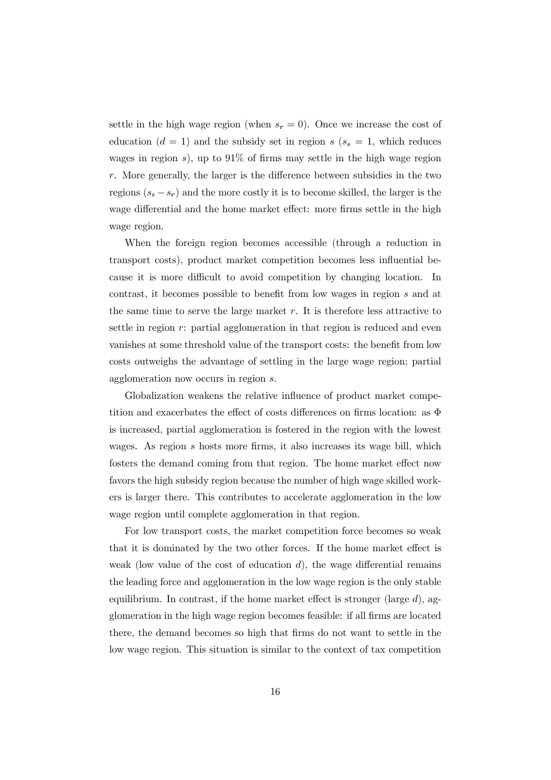settle in the high wage region (when  $s_r = 0$ ). Once we increase the cost of education ( $d = 1$ ) and the subsidy set in region  $s$  ( $s_s = 1$ , which reduces wages in region  $s$ ), up to 91% of firms may settle in the high wage region  $r$ . More generally, the larger is the difference between subsidies in the two regions  $(s_s - s_r)$  and the more costly it is to become skilled, the larger is the wage differential and the home market effect: more firms settle in the high wage region.

When the foreign region becomes accessible (through a reduction in transport costs), product market competition becomes less influential because it is more difficult to avoid competition by changing location. In contrast, it becomes possible to benefit from low wages in region s and at the same time to serve the large market  $r$ . It is therefore less attractive to settle in region  $r$ : partial agglomeration in that region is reduced and even vanishes at some threshold value of the transport costs: the benefit from low costs outweighs the advantage of settling in the large wage region; partial agglomeration now occurs in region  $s$ .

Globalization weakens the relative influence of product market competition and exacerbates the effect of costs differences on firms location: as  $\Phi$ is increased, partial agglomeration is fostered in the region with the lowest wages. As region s hosts more firms, it also increases its wage bill, which fosters the demand coming from that region. The home market effect now favors the high subsidy region because the number of high wage skilled workers is larger there. This contributes to accelerate agglomeration in the low wage region until complete agglomeration in that region.

For low transport costs, the market competition force becomes so weak that it is dominated by the two other forces. If the home market effect is weak (low value of the cost of education  $d$ ), the wage differential remains the leading force and agglomeration in the low wage region is the only stable equilibrium. In contrast, if the home market effect is stronger (large  $d$ ), agglomeration in the high wage region becomes feasible: if all firms are located there, the demand becomes so high that firms do not want to settle in the low wage region. This situation is similar to the context of tax competition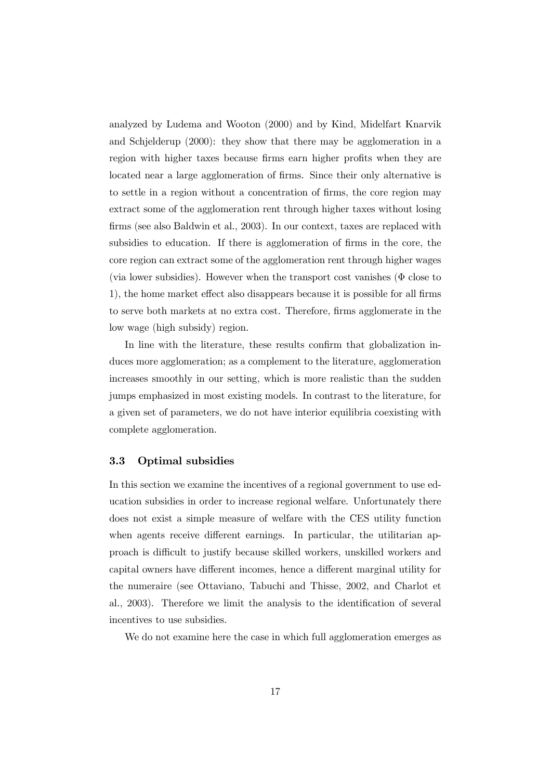analyzed by Ludema and Wooton (2000) and by Kind, Midelfart Knarvik and Schielderup  $(2000)$ : they show that there may be agglomeration in a region with higher taxes because firms earn higher profits when they are located near a large agglomeration of firms. Since their only alternative is to settle in a region without a concentration of firms, the core region may extract some of the agglomeration rent through higher taxes without losing firms (see also Baldwin et al., 2003). In our context, taxes are replaced with subsidies to education. If there is agglomeration of firms in the core, the core region can extract some of the agglomeration rent through higher wages (via lower subsidies). However when the transport cost vanishes ( $\Phi$  close to 1), the home market effect also disappears because it is possible for all firms to serve both markets at no extra cost. Therefore, firms agglomerate in the low wage (high subsidy) region.

In line with the literature, these results confirm that globalization induces more agglomeration; as a complement to the literature, agglomeration increases smoothly in our setting, which is more realistic than the sudden jumps emphasized in most existing models. In contrast to the literature, for a given set of parameters, we do not have interior equilibria coexisting with complete agglomeration.

#### 3.3 Optimal subsidies

In this section we examine the incentives of a regional government to use education subsidies in order to increase regional welfare. Unfortunately there does not exist a simple measure of welfare with the CES utility function when agents receive different earnings. In particular, the utilitarian approach is difficult to justify because skilled workers, unskilled workers and capital owners have different incomes, hence a different marginal utility for the numeraire (see Ottaviano, Tabuchi and Thisse, 2002, and Charlot et al., 2003). Therefore we limit the analysis to the identification of several incentives to use subsidies.

We do not examine here the case in which full agglomeration emerges as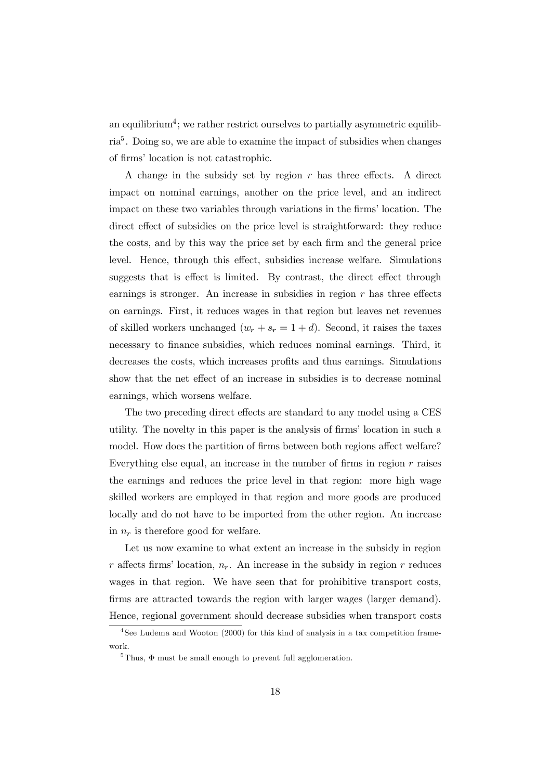an equilibrium<sup>4</sup>; we rather restrict ourselves to partially asymmetric equilib $ria<sup>5</sup>$ . Doing so, we are able to examine the impact of subsidies when changes of firms' location is not catastrophic.

A change in the subsidy set by region  $r$  has three effects. A direct impact on nominal earnings, another on the price level, and an indirect impact on these two variables through variations in the firms' location. The direct effect of subsidies on the price level is straightforward: they reduce the costs, and by this way the price set by each firm and the general price level. Hence, through this effect, subsidies increase welfare. Simulations suggests that is effect is limited. By contrast, the direct effect through earnings is stronger. An increase in subsidies in region  $r$  has three effects on earnings. First, it reduces wages in that region but leaves net revenues of skilled workers unchanged  $(w_r + s_r = 1 + d)$ . Second, it raises the taxes necessary to finance subsidies, which reduces nominal earnings. Third, it decreases the costs, which increases profits and thus earnings. Simulations show that the net effect of an increase in subsidies is to decrease nominal earnings, which worsens welfare.

The two preceding direct effects are standard to any model using a CES utility. The novelty in this paper is the analysis of firms' location in such a model. How does the partition of firms between both regions affect welfare? Everything else equal, an increase in the number of firms in region  $r$  raises the earnings and reduces the price level in that region: more high wage skilled workers are employed in that region and more goods are produced locally and do not have to be imported from the other region. An increase in  $n_r$  is therefore good for welfare.

Let us now examine to what extent an increase in the subsidy in region r affects firms' location,  $n_r$ . An increase in the subsidy in region r reduces wages in that region. We have seen that for prohibitive transport costs, firms are attracted towards the region with larger wages (larger demand). Hence, regional government should decrease subsidies when transport costs

 $4$ See Ludema and Wooton (2000) for this kind of analysis in a tax competition framework.

<sup>&</sup>lt;sup>5</sup>Thus,  $\Phi$  must be small enough to prevent full agglomeration.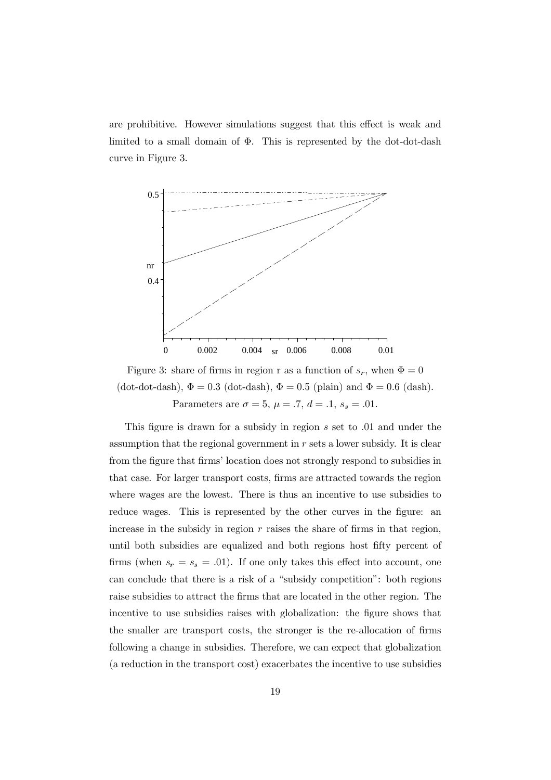are prohibitive. However simulations suggest that this effect is weak and limited to a small domain of  $\Phi$ . This is represented by the dot-dot-dash curve in Figure 3.



Figure 3: share of firms in region r as a function of  $s_r$ , when  $\Phi = 0$ (dot-dot-dash),  $\Phi = 0.3$  (dot-dash),  $\Phi = 0.5$  (plain) and  $\Phi = 0.6$  (dash). Parameters are  $\sigma = 5$ ,  $\mu = .7$ ,  $d = .1$ ,  $s_s = .01$ .

This figure is drawn for a subsidy in region  $s$  set to 0.01 and under the assumption that the regional government in  $r$  sets a lower subsidy. It is clear from the figure that firms' location does not strongly respond to subsidies in that case. For larger transport costs, firms are attracted towards the region where wages are the lowest. There is thus an incentive to use subsidies to reduce wages. This is represented by the other curves in the figure: an increase in the subsidy in region  $r$  raises the share of firms in that region, until both subsidies are equalized and both regions host fifty percent of firms (when  $s_r = s_s = .01$ ). If one only takes this effect into account, one can conclude that there is a risk of a "subsidy competition": both regions raise subsidies to attract the firms that are located in the other region. The incentive to use subsidies raises with globalization: the figure shows that the smaller are transport costs, the stronger is the re-allocation of firms following a change in subsidies. Therefore, we can expect that globalization (a reduction in the transport cost) exacerbates the incentive to use subsidies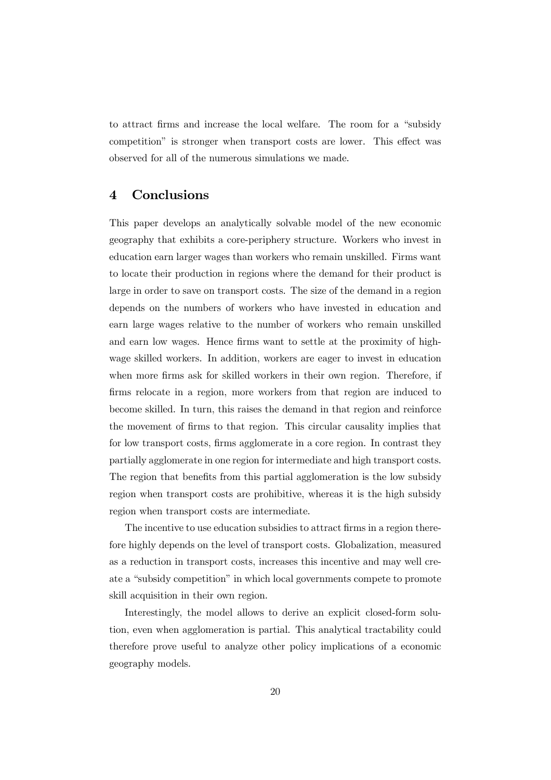to attract firms and increase the local welfare. The room for a "subsidy" competition" is stronger when transport costs are lower. This effect was observed for all of the numerous simulations we made.

#### Conclusions  $\boldsymbol{4}$

This paper develops an analytically solvable model of the new economic geography that exhibits a core-periphery structure. Workers who invest in education earn larger wages than workers who remain unskilled. Firms want to locate their production in regions where the demand for their product is large in order to save on transport costs. The size of the demand in a region depends on the numbers of workers who have invested in education and earn large wages relative to the number of workers who remain unskilled and earn low wages. Hence firms want to settle at the proximity of highwage skilled workers. In addition, workers are eager to invest in education when more firms ask for skilled workers in their own region. Therefore, if firms relocate in a region, more workers from that region are induced to become skilled. In turn, this raises the demand in that region and reinforce the movement of firms to that region. This circular causality implies that for low transport costs, firms agglomerate in a core region. In contrast they partially agglomerate in one region for intermediate and high transport costs. The region that benefits from this partial agglomeration is the low subsidy region when transport costs are prohibitive, whereas it is the high subsidy region when transport costs are intermediate.

The incentive to use education subsidies to attract firms in a region therefore highly depends on the level of transport costs. Globalization, measured as a reduction in transport costs, increases this incentive and may well create a "subsidy competition" in which local governments compete to promote skill acquisition in their own region.

Interestingly, the model allows to derive an explicit closed-form solution, even when agglomeration is partial. This analytical tractability could therefore prove useful to analyze other policy implications of a economic geography models.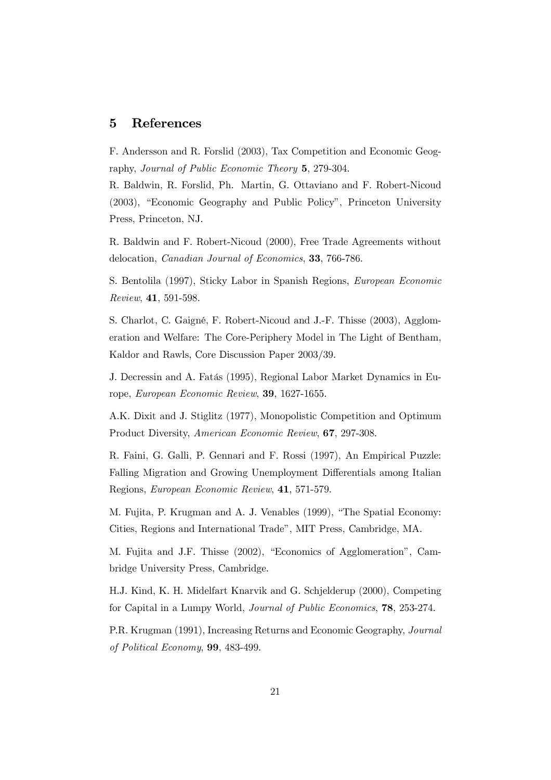#### $\overline{5}$ **References**

F. Andersson and R. Forslid (2003), Tax Competition and Economic Geography, Journal of Public Economic Theory 5, 279-304.

R. Baldwin, R. Forslid, Ph. Martin, G. Ottaviano and F. Robert-Nicoud (2003), "Economic Geography and Public Policy", Princeton University Press, Princeton, NJ.

R. Baldwin and F. Robert-Nicoud (2000), Free Trade Agreements without delocation, *Canadian Journal of Economics*, 33, 766-786.

S. Bentolila (1997), Sticky Labor in Spanish Regions, European Economic Review, 41, 591-598.

S. Charlot, C. Gaigné, F. Robert-Nicoud and J.-F. Thisse (2003), Agglomeration and Welfare: The Core-Periphery Model in The Light of Bentham, Kaldor and Rawls, Core Discussion Paper 2003/39.

J. Decressin and A. Fatás (1995), Regional Labor Market Dynamics in Europe, European Economic Review, 39, 1627-1655.

A.K. Dixit and J. Stiglitz (1977), Monopolistic Competition and Optimum Product Diversity, American Economic Review, 67, 297-308.

R. Faini, G. Galli, P. Gennari and F. Rossi (1997), An Empirical Puzzle: Falling Migration and Growing Unemployment Differentials among Italian Regions, European Economic Review, 41, 571-579.

M. Fujita, P. Krugman and A. J. Venables (1999), "The Spatial Economy: Cities, Regions and International Trade", MIT Press, Cambridge, MA.

M. Fujita and J.F. Thisse (2002), "Economics of Agglomeration", Cambridge University Press, Cambridge.

H.J. Kind, K. H. Midelfart Knarvik and G. Schjelderup (2000), Competing for Capital in a Lumpy World, *Journal of Public Economics*, **78**, 253-274.

P.R. Krugman (1991), Increasing Returns and Economic Geography, *Journal* of Political Economy, 99, 483-499.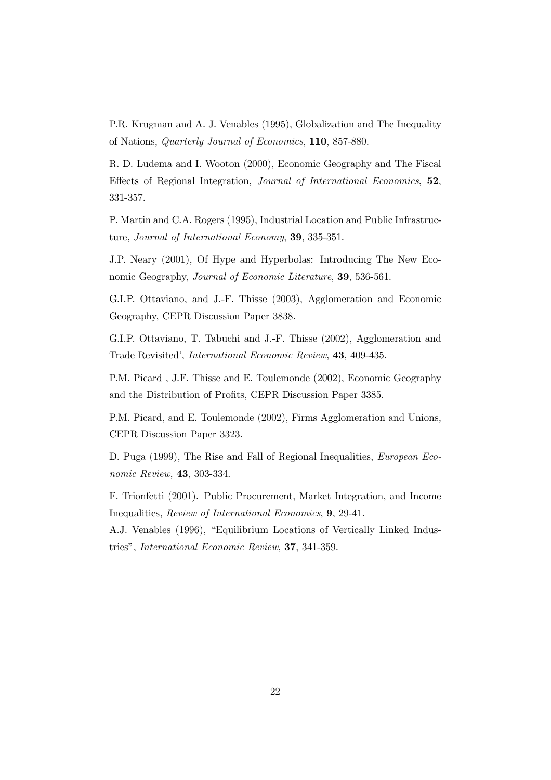P.R. Krugman and A. J. Venables (1995), Globalization and The Inequality of Nations, *Quarterly Journal of Economics*, 110, 857-880.

R. D. Ludema and I. Wooton (2000), Economic Geography and The Fiscal Effects of Regional Integration, Journal of International Economics, 52, 331-357.

P. Martin and C.A. Rogers (1995), Industrial Location and Public Infrastructure, Journal of International Economy, 39, 335-351.

J.P. Neary (2001), Of Hype and Hyperbolas: Introducing The New Economic Geography, Journal of Economic Literature, 39, 536-561.

G.I.P. Ottaviano, and J.-F. Thisse (2003), Agglomeration and Economic Geography, CEPR Discussion Paper 3838.

G.I.P. Ottaviano, T. Tabuchi and J.-F. Thisse (2002), Agglomeration and Trade Revisited', International Economic Review, 43, 409-435.

P.M. Picard, J.F. Thisse and E. Toulemonde (2002), Economic Geography and the Distribution of Profits, CEPR Discussion Paper 3385.

P.M. Picard, and E. Toulemonde (2002), Firms Agglomeration and Unions, CEPR Discussion Paper 3323.

D. Puga (1999), The Rise and Fall of Regional Inequalities, *European Eco*nomic Review, 43, 303-334.

F. Trionfetti (2001). Public Procurement, Market Integration, and Income Inequalities, *Review of International Economics*, 9, 29-41.

A.J. Venables (1996), "Equilibrium Locations of Vertically Linked Industries", International Economic Review, 37, 341-359.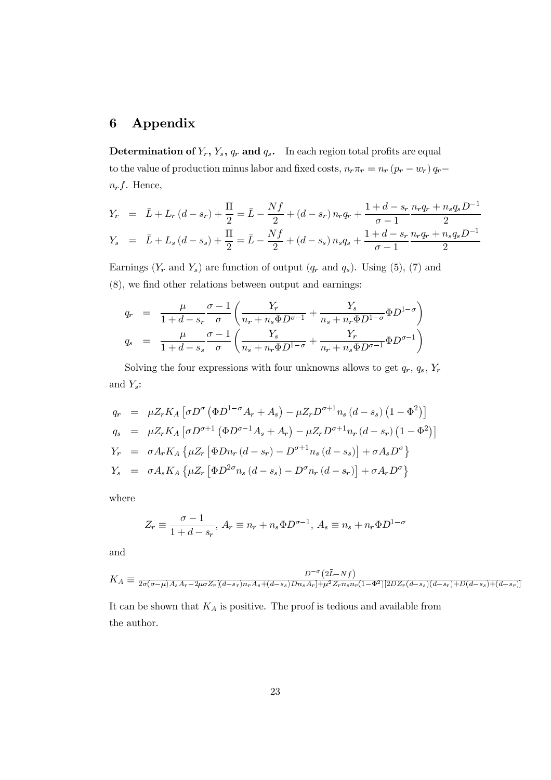#### $\boldsymbol{6}$ Appendix

**Determination of**  $Y_r$ ,  $Y_s$ ,  $q_r$  and  $q_s$ . In each region total profits are equal to the value of production minus labor and fixed costs,  $n_r \pi_r = n_r (p_r - w_r) q_r$  $n_r f$ . Hence,

$$
Y_r = \bar{L} + L_r (d - s_r) + \frac{\Pi}{2} = \bar{L} - \frac{Nf}{2} + (d - s_r) n_r q_r + \frac{1 + d - s_r}{\sigma - 1} \frac{n_r q_r + n_s q_s D^{-1}}{2}
$$
  

$$
Y_s = \bar{L} + L_s (d - s_s) + \frac{\Pi}{2} = \bar{L} - \frac{Nf}{2} + (d - s_s) n_s q_s + \frac{1 + d - s_r}{\sigma - 1} \frac{n_r q_r + n_s q_s D^{-1}}{2}
$$

Earnings  $(Y_r$  and  $Y_s$ ) are function of output  $(q_r$  and  $q_s)$ . Using (5), (7) and  $(8)$ , we find other relations between output and earnings:

$$
q_r = \frac{\mu}{1+d-s_r} \frac{\sigma-1}{\sigma} \left( \frac{Y_r}{n_r + n_s \Phi D^{\sigma-1}} + \frac{Y_s}{n_s + n_r \Phi D^{1-\sigma}} \Phi D^{1-\sigma} \right)
$$
  

$$
q_s = \frac{\mu}{1+d-s_s} \frac{\sigma-1}{\sigma} \left( \frac{Y_s}{n_s + n_r \Phi D^{1-\sigma}} + \frac{Y_r}{n_r + n_s \Phi D^{\sigma-1}} \Phi D^{\sigma-1} \right)
$$

Solving the four expressions with four unknowns allows to get  $q_r$ ,  $q_s$ ,  $Y_r$ and  $Y_s$ :

$$
q_r = \mu Z_r K_A \left[ \sigma D^{\sigma} \left( \Phi D^{1-\sigma} A_r + A_s \right) - \mu Z_r D^{\sigma+1} n_s \left( d - s_s \right) \left( 1 - \Phi^2 \right) \right]
$$
  
\n
$$
q_s = \mu Z_r K_A \left[ \sigma D^{\sigma+1} \left( \Phi D^{\sigma-1} A_s + A_r \right) - \mu Z_r D^{\sigma+1} n_r \left( d - s_r \right) \left( 1 - \Phi^2 \right) \right]
$$
  
\n
$$
Y_r = \sigma A_r K_A \left\{ \mu Z_r \left[ \Phi D n_r \left( d - s_r \right) - D^{\sigma+1} n_s \left( d - s_s \right) \right] + \sigma A_s D^{\sigma} \right\}
$$
  
\n
$$
Y_s = \sigma A_s K_A \left\{ \mu Z_r \left[ \Phi D^{2\sigma} n_s \left( d - s_s \right) - D^{\sigma} n_r \left( d - s_r \right) \right] + \sigma A_r D^{\sigma} \right\}
$$

where

$$
Z_r \equiv \frac{\sigma - 1}{1 + d - s_r}, A_r \equiv n_r + n_s \Phi D^{\sigma - 1}, A_s \equiv n_s + n_r \Phi D^{1 - \sigma}
$$

and

$$
K_A \equiv \frac{D^{-\sigma}(2\bar{L}-Nf)}{2\sigma(\sigma-\mu)A_sA_r - 2\mu\sigma Z_r[(d-s_r)n_rA_s + (d-s_s)Dn_sA_r] + \mu^2 Z_r n_s n_r(1-\Phi^2)[2DZ_r(d-s_s)(d-s_r) + D(d-s_s) + (d-s_r)]}
$$

It can be shown that  $\mathcal{K}_A$  is positive. The proof is tedious and available from the author.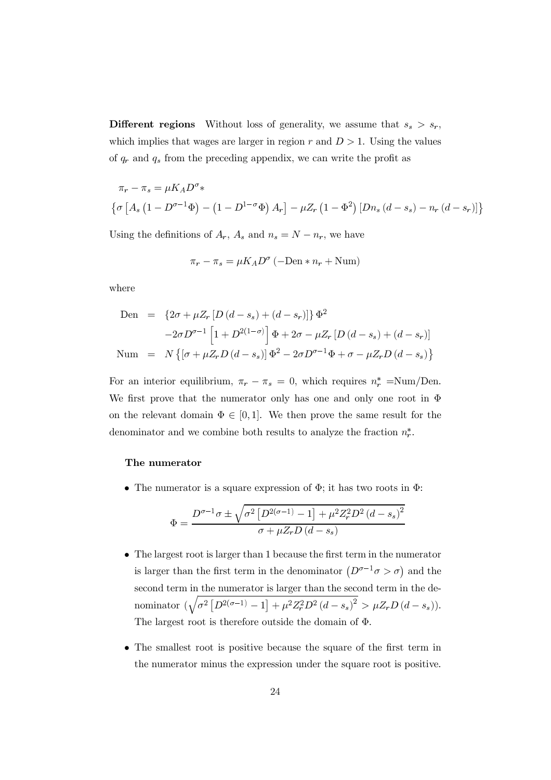**Different regions** Without loss of generality, we assume that  $s_s > s_r$ , which implies that wages are larger in region r and  $D > 1$ . Using the values of  $q_r$  and  $q_s$  from the preceding appendix, we can write the profit as

$$
\pi_r - \pi_s = \mu K_A D^{\sigma} *
$$
  

$$
\left\{ \sigma \left[ A_s \left( 1 - D^{\sigma - 1} \Phi \right) - \left( 1 - D^{1 - \sigma} \Phi \right) A_r \right] - \mu Z_r \left( 1 - \Phi^2 \right) \left[ D n_s \left( d - s_s \right) - n_r \left( d - s_r \right) \right] \right\}
$$

Using the definitions of  $A_r$ ,  $A_s$  and  $n_s = N - n_r$ , we have

$$
\pi_r - \pi_s = \mu K_A D^{\sigma} \left( -\text{Den} * n_r + \text{Num} \right)
$$

where

Den = 
$$
\{2\sigma + \mu Z_r [D(d - s_s) + (d - s_r)]\} \Phi^2
$$
  
\n $-2\sigma D^{\sigma-1} [1 + D^{2(1-\sigma)}] \Phi + 2\sigma - \mu Z_r [D(d - s_s) + (d - s_r)]$   
\nNum =  $N \{ [\sigma + \mu Z_r D(d - s_s)] \Phi^2 - 2\sigma D^{\sigma-1} \Phi + \sigma - \mu Z_r D(d - s_s) \}$ 

For an interior equilibrium,  $\pi_r - \pi_s = 0$ , which requires  $n_r^* = Num/Den$ . We first prove that the numerator only has one and only one root in  $\Phi$ on the relevant domain  $\Phi \in [0,1]$ . We then prove the same result for the denominator and we combine both results to analyze the fraction  $n_r^*$ .

#### The numerator

• The numerator is a square expression of  $\Phi$ ; it has two roots in  $\Phi$ :

$$
\Phi = \frac{D^{\sigma - 1} \sigma \pm \sqrt{\sigma^2 \left[ D^{2(\sigma - 1)} - 1 \right] + \mu^2 Z_r^2 D^2 (d - s_s)^2}}{\sigma + \mu Z_r D (d - s_s)}
$$

- $\bullet$  The largest root is larger than 1 because the first term in the numerator is larger than the first term in the denominator  $(D^{\sigma-1}\sigma > \sigma)$  and the second term in the numerator is larger than the second term in the denominator  $(\sqrt{\sigma^2 [D^{2(\sigma-1)} - 1] + \mu^2 Z_r^2 D^2 (d - s_s)^2} > \mu Z_r D(d - s_s)).$ The largest root is therefore outside the domain of  $\Phi$ .
- The smallest root is positive because the square of the first term in the numerator minus the expression under the square root is positive.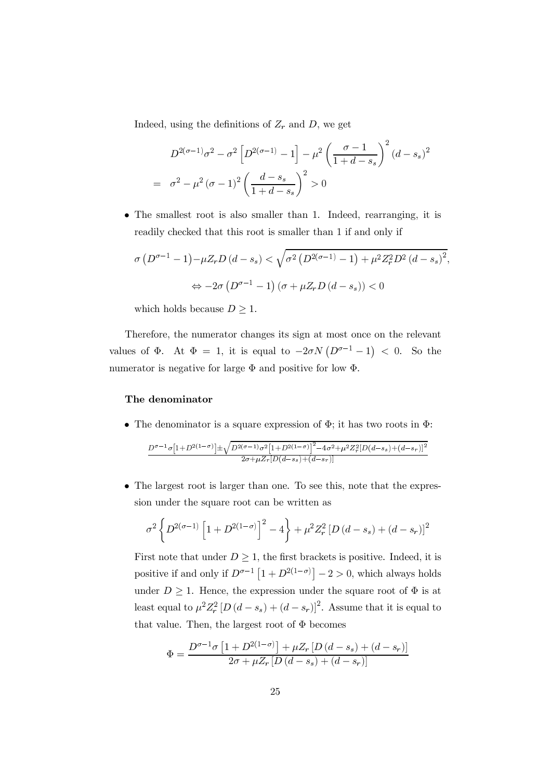Indeed, using the definitions of  $Z_r$  and D, we get

$$
D^{2(\sigma-1)}\sigma^2 - \sigma^2 \left[ D^{2(\sigma-1)} - 1 \right] - \mu^2 \left( \frac{\sigma - 1}{1 + d - s_s} \right)^2 (d - s_s)^2
$$
  
=  $\sigma^2 - \mu^2 (\sigma - 1)^2 \left( \frac{d - s_s}{1 + d - s_s} \right)^2 > 0$ 

• The smallest root is also smaller than 1. Indeed, rearranging, it is readily checked that this root is smaller than 1 if and only if

$$
\sigma (D^{\sigma-1} - 1) - \mu Z_r D (d - s_s) < \sqrt{\sigma^2 (D^{2(\sigma-1)} - 1) + \mu^2 Z_r^2 D^2 (d - s_s)^2},
$$
\n
$$
\Leftrightarrow -2\sigma (D^{\sigma-1} - 1) (\sigma + \mu Z_r D (d - s_s)) < 0
$$

which holds because  $D \geq 1$ .

Therefore, the numerator changes its sign at most once on the relevant values of  $\Phi$ . At  $\Phi = 1$ , it is equal to  $-2\sigma N (D^{\sigma-1} - 1) < 0$ . So the numerator is negative for large  $\Phi$  and positive for low  $\Phi$ .

#### The denominator

• The denominator is a square expression of  $\Phi$ ; it has two roots in  $\Phi$ :

$$
\frac{D^{\sigma-1} \sigma \left[1+D^{2(1-\sigma)}\right] \pm \sqrt{D^{2(\sigma-1)} \sigma^2 \left[1+D^{2(1-\sigma)}\right]^2 - 4 \sigma^2 + \mu^2 Z_r^2 [D(d-s_s) + (d-s_r)]^2}}{2 \sigma + \mu Z_r [D(d-s_s) + (d-s_r)]}
$$

 $\bullet$  The largest root is larger than one. To see this, note that the expression under the square root can be written as

$$
\sigma^2 \left\{ D^{2(\sigma-1)} \left[ 1 + D^{2(1-\sigma)} \right]^2 - 4 \right\} + \mu^2 Z_r^2 \left[ D\left( d - s_s \right) + \left( d - s_r \right) \right]^2
$$

First note that under  $D \geq 1$ , the first brackets is positive. Indeed, it is positive if and only if  $D^{\sigma-1}[1+D^{2(1-\sigma)}]-2>0$ , which always holds under  $D \geq 1$ . Hence, the expression under the square root of  $\Phi$  is at least equal to  $\mu^2 Z_r^2 [D(d-s_s) + (d-s_r)]^2$ . Assume that it is equal to that value. Then, the largest root of  $\Phi$  becomes

$$
\Phi = \frac{D^{\sigma-1}\sigma [1 + D^{2(1-\sigma)}] + \mu Z_r [D(d - s_s) + (d - s_r)]}{2\sigma + \mu Z_r [D(d - s_s) + (d - s_r)]}
$$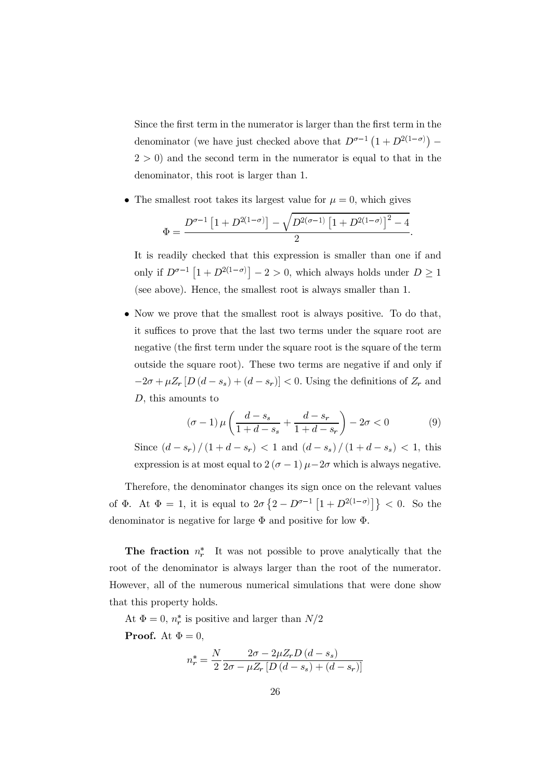Since the first term in the numerator is larger than the first term in the denominator (we have just checked above that  $D^{\sigma-1}(1+D^{2(1-\sigma)})$  –  $(2 > 0)$  and the second term in the numerator is equal to that in the denominator, this root is larger than 1.

• The smallest root takes its largest value for  $\mu = 0$ , which gives

$$
\Phi=\frac{D^{\sigma-1}\left[1+D^{2(1-\sigma)}\right]-\sqrt{D^{2(\sigma-1)}\left[1+D^{2(1-\sigma)}\right]^2-4}}{2}
$$

It is readily checked that this expression is smaller than one if and only if  $D^{\sigma-1}[1+D^{2(1-\sigma)}]-2>0$ , which always holds under  $D\geq 1$ (see above). Hence, the smallest root is always smaller than 1.

• Now we prove that the smallest root is always positive. To do that, it suffices to prove that the last two terms under the square root are negative (the first term under the square root is the square of the term outside the square root). These two terms are negative if and only if  $-2\sigma + \mu Z_r [D(d-s_s) + (d-s_r)] < 0$ . Using the definitions of  $Z_r$  and  $D$ , this amounts to

$$
(\sigma - 1)\,\mu\left(\frac{d - s_s}{1 + d - s_s} + \frac{d - s_r}{1 + d - s_r}\right) - 2\sigma < 0\tag{9}
$$

Since  $(d - s_r)/(1 + d - s_r) < 1$  and  $(d - s_s)/(1 + d - s_s) < 1$ , this expression is at most equal to  $2(\sigma - 1)\mu - 2\sigma$  which is always negative.

Therefore, the denominator changes its sign once on the relevant values of  $\Phi$ . At  $\Phi = 1$ , it is equal to  $2\sigma \{2 - D^{\sigma-1} | 1 + D^{2(1-\sigma)} | \} < 0$ . So the denominator is negative for large  $\Phi$  and positive for low  $\Phi$ .

**The fraction**  $n_r^*$  It was not possible to prove analytically that the root of the denominator is always larger than the root of the numerator. However, all of the numerous numerical simulations that were done show that this property holds.

At  $\Phi = 0$ ,  $n_r^*$  is positive and larger than  $N/2$ **Proof.** At  $\Phi = 0$ ,

$$
n_r^* = \frac{N}{2} \frac{2\sigma - 2\mu Z_r D(d - s_s)}{2\sigma - \mu Z_r [D(d - s_s) + (d - s_r)]}
$$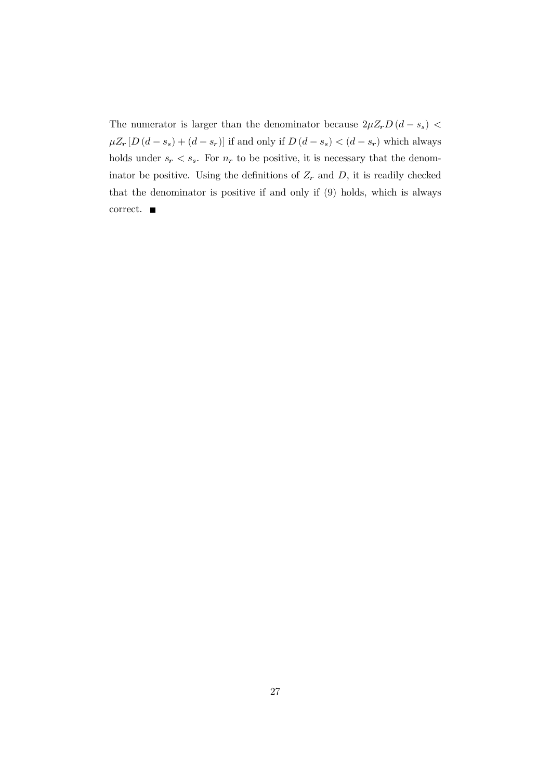The numerator is larger than the denominator because  $2\mu Z_r D(d-s_s)$  <  $\mu Z_r \left[ D \left( d - s_s \right) + \left( d - s_r \right) \right]$  if and only if  $D \left( d - s_s \right) < \left( d - s_r \right)$  which always holds under  $s_r < s_s$ . For  $n_r$  to be positive, it is necessary that the denominator be positive. Using the definitions of  $Z_r$  and D, it is readily checked that the denominator is positive if and only if (9) holds, which is always correct.  $\blacksquare$